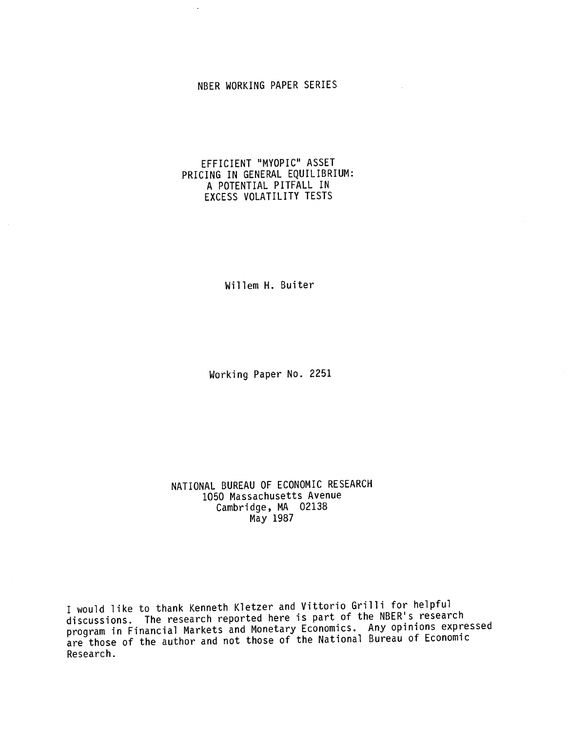# NBER WORKING PAPER SERIES

## EFFICIENT "MYOPIC" ASSET PRICING IN GENERAL EQUILIBRIUM: A POTENTIAL PITFALL IN EXCESS VOLATILITY TESTS

Willem H. Buiter

Working Paper No. 2251

NATIONAL BUREAU OF ECONOMIC RESEARCH 1050 Massachusetts Avenue Cambridge, MA 02138 May 1987

I would like to thank Kenneth Kletzer and Vittorio Grilli for helpful discussions. The research reported here is part of the NBER's research program in Financial Markets and Monetary Economics. Any opinions expressed are those of the author and not those of the National Bureau of Economic Research.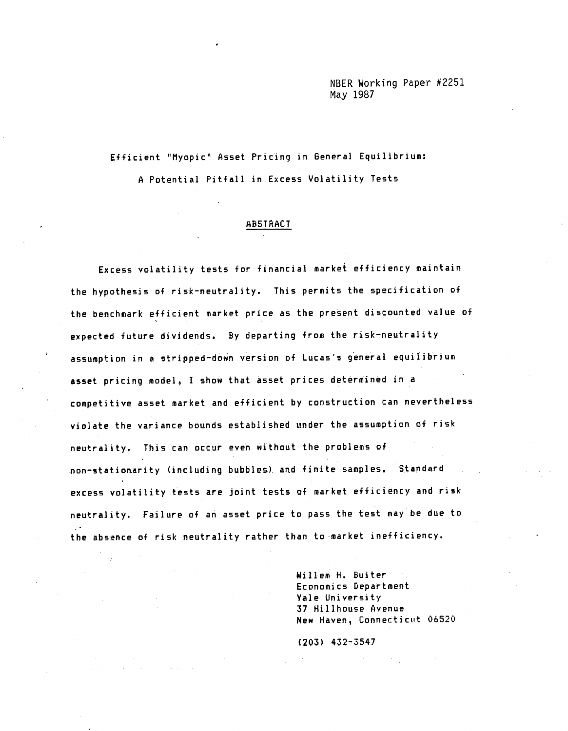NBER Working Paper #2251 May 1987

Efficient "Myopic" Asset Pricing in General Equilibrium: A Potential Pitfall in Excess Volatility Tests

#### ABSTRACT

Excess volatility tests for financial market efficiency maintain the hypothesis of risk—neutrality. This permits the specification of the benchmark efficient market price as the present discounted value of expected future dividends. By departing from the risk—neutrality assumption in a stripped—down version of Lucas's general equilibrium asset pricing model, I show that asset prices determined in a competitive asset market and efficient by construction can nevertheless violate the variance bounds established under the assumption of risk neutrality. This can occur even without the problems of non—stationarity (including bubbles). and finite samples. Standard. excess volatility tests are joint tests of market efficiency and risk neutrality. Failure of an asset price to pass the test may be due to the absence of risk neutrality rather than to market inefficiency.

> Willem H. Buiter Economics Department Yale University 37 Hillhouse Avenue New Haven, Connecticut 06520

(203) 432—3547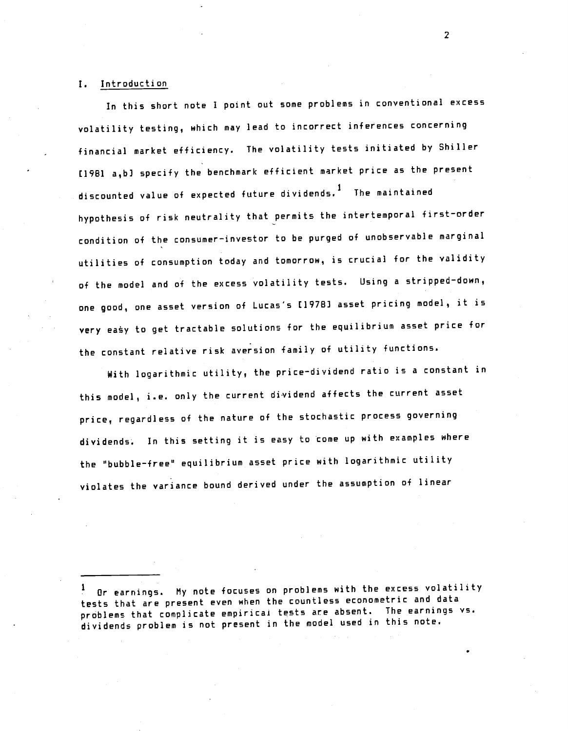### I. Introduction

In this short note I point out some problems in conventional excess volatility testing, which may lead to incorrect inferences concerning financial market efficiency. The volatility tests initiated by Shiller (1981 a,b] specify the benchmark efficient market price as the present discounted value of expected future dividends.1 The maintained hypothesis of risk neutrality that permits the intertemporal first—order condition of the consumer—investor to be purged of unobservable marginal utilities of consumption today and tomorrow, is crucial for the validity of the model and of the excess volatility tests. Using a stripped—down, one good, one asset version of Lucas's [1978] asset pricing model, it is very easy to get tractable solutions for the equilibrium asset price for the constant relative risk aversion family of utility functions.

With logarithmic utility, the price—dividend ratio is a constant in this model, i.e. only the current dividend affects the current asset price, regardless of the nature of the stochastic process governing dividends. In this setting it is easy to come up with examples where the "bubble-free" equilibrium asset price with logarithmic utility violates the variance bound derived under the assumption of linear

Or earnings. My note focuses on problems with the excess volatility tests that are present even when the countless econometric and data problems that complicate empirical tests are absent. The earnings vs. dividends problem is not present in the model used in this note.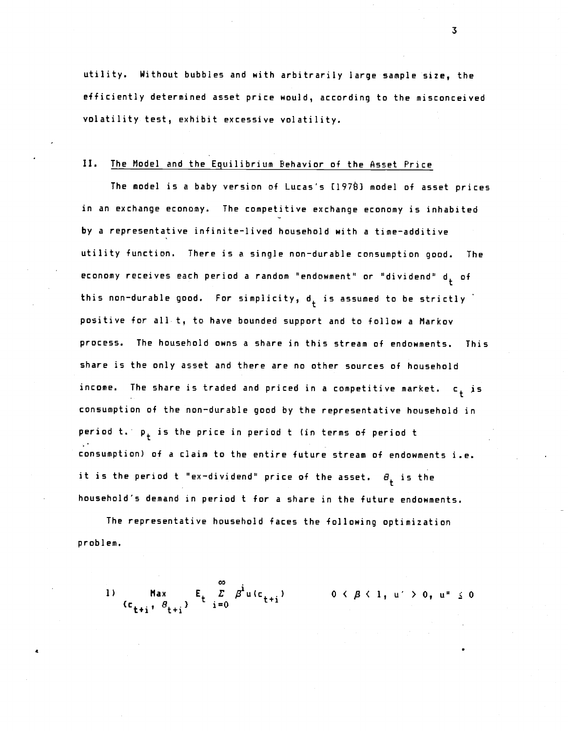utility. Without bubbles and with arbitrarily large sample size, the efficiently determined asset price would, according to the misconceived volatility test, exhibit excessive volatility.

### II. The Model and the Equilibrium Behavior of the Asset Price

The model is a baby version of Lucas's [1978] model of asset prices in an exchange economy. The competitive exchange economy is inhabited by a representative infinite—lived household with a time—additive utility function. There is a single non—durable consumption good. The economy receives each period a random "endowment" or "dividend"  $d_+$  of this non-durable good. For simplicity,  $d_+$  is assumed to be strictly positive for all t, to have bounded support and to follow a Markov process. The household owns a share in this stream of endowments. This share is the only asset and there are no other sources of household income. The share is traded and priced in a competitive market. c<sub>t</sub> is<br>... consumption of the non—durable good by the representative household in period t.  $p_+$  is the price in period t (in terms of period t consumption) of a claim to the entire future stream of endowments i.e. it is the period t "ex-dividend" price of the asset.  $\theta_{+}$  is the household's demand in period t for a share in the future endowments.

The representative household faces the following optimization probl em.

1) 
$$
\lim_{C_{t+1}^+ \to B_{t+1}^+} E_t \sum_{i=0}^{\infty} \beta^i u(c_{t+i})
$$
 0  $\left(\beta \leq 1, u' > 0, u'' \leq 0\right)$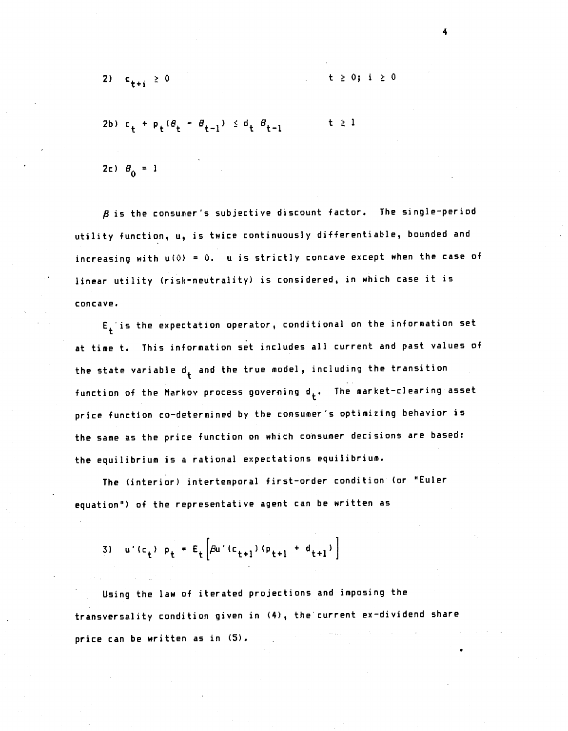2) c  $t + i \geq 0$  t  $\geq 0$ ; i  $\geq 0$ 

 $t \geq 0$ ; i  $\geq 0$ 

$$
2b) c_{t} + p_{t} (\theta_{t} - \theta_{t-1}) \leq d_{t} \theta_{t-1} \qquad t \geq 1
$$

 $2c$ )  $\theta_0 = 1$ 

 $\beta$  is the consumer's subjective discount factor. The single-period utility function, u, is twice continuously differentiable, bounded and increasing with  $u(0) = 0$ .  $u$  is strictly concave except when the case of linear utility (risk—neutrality) is considered, in which case it is concave.

 $E_t$  is the expectation operator, conditional on the information set at time t. This information set includes all current and past values of the state variable  $d_t$  and the true model, including the transition function of the Markov process governing  $\mathsf{d}_\mathsf{t}$ . The market—clearing asset price function co—determined by the consumer's optimizing behavior is the same as the price function on which consumer decisions are based: the equilibrium is a rational expectations equilibrium.

The (interior) intertemporal first—order condition (or 'Euler equation") of the representative agent can be written as

3)  $U'(c_t) p_t = E_t \left[ \beta U'(c_{t+1}) (p_{t+1} + d_{t+1}) \right]$ 

Using the law of iterated projections and imposing the transversality condition given in (4), the current ex-dividend share price can be written as in (5).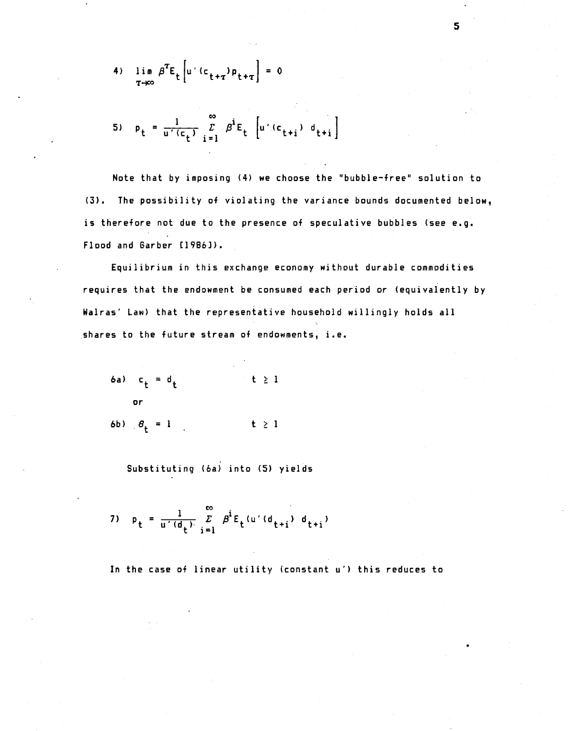4) 
$$
\lim_{T \to \infty} \beta^T E_t \left[ u \left( (c_{t+\tau}) \rho_{t+\tau} \right) = 0 \right]
$$

5) 
$$
p_t = \frac{1}{u'(c_t)} \sum_{i=1}^{\infty} \beta^i E_t \left[ u'(c_{t+i}) d_{t+i} \right]
$$

Note that by imposing  $(4)$  we choose the "bubble-free" solution to (3). The possibility of violating the variance bounds documented below, is therefore not due to the presence of speculative bubbles (see e.g. Flood and Garber [1986]).

Equilibrium in this exchange economy without durable commodities requires that the endowment be consumed each period or (equivalently by Wairas' Law) that the representative household willingly holds all shares to the future stream of endowments, i.e.

(a) 
$$
c_t = d_t
$$
      $t \geq 1$ 

\nor

\n(b)  $\theta_t = 1$       $t \geq 1$ 

Substituting (6a) into (5) yields

7) 
$$
p_t = \frac{1}{u'(d_t)} \sum_{i=1}^{\infty} \beta^i E_t(u'(d_{t+i}) d_{t+i})
$$

In the case of linear utility (constant u') this reduces to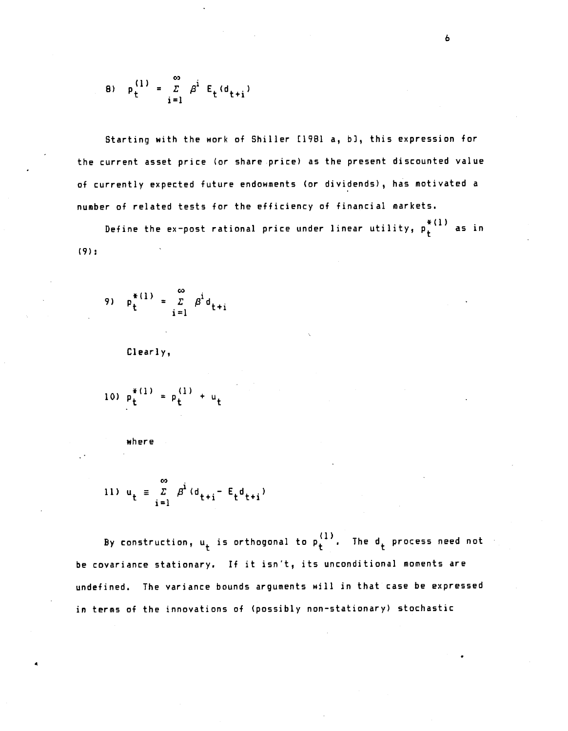8) 
$$
p_t^{(1)} = \sum_{i=1}^{\infty} \beta^i E_t(d_{t+i})
$$

Starting with the work of Shiller t1981 a, b], this expression for the current asset price (or share price) as the present discounted value of currently expected future endowments (or dividends), has motivated a number of related tests for the efficiency of financial markets.

Define the ex-post rational price under linear utility,  $p_t^{\ast(1)}$  as in (9);

9) 
$$
p_t^{*(1)} = \sum_{i=1}^{\infty} \beta^i d_{t+i}
$$

Clearly,

10) 
$$
p_t^{*(1)} = p_t^{(1)} + u_t
$$

where

11) 
$$
u_t = \sum_{i=1}^{\infty} \beta^i (d_{t+i} - E_t d_{t+i})
$$

By construction,  $u_t$  is orthogonal to  $p_t^{(1)}$ . The  $d_t$  process need not be covariance stationary. If it isn't, its unconditional moments are undefined. The variance bounds arguments will in that case be expressed in terms of the innovations of (possibly non—stationary) stochastic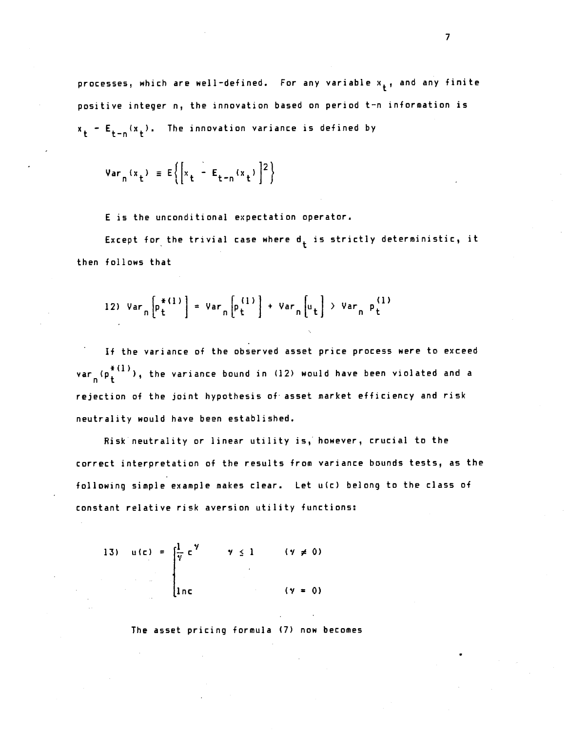processes, which are well-defined. For any variable  $x_{\pm}$ , and any finite positive integer n, the innovation based on period t—n information is  $x_t - E_{t-n}(x_t)$ . The innovation variance is defined by

$$
Var_n(x_t) = E\left\{ \left[ x_t - E_{t-n}(x_t) \right]^2 \right\}
$$

E is the unconditional expectation operator.

Except for the trivial case where  $d_t$  is strictly deterministic, it then follows that

12) 
$$
Var_n\left[\begin{matrix}p_t^{*(1)} \\ t\end{matrix}\right] = Var_n\left[\begin{matrix}p_t^{(1)} \\ t\end{matrix}\right] + Var_n\left[\begin{matrix}u_t \\ t\end{matrix}\right] > Var_n P_t^{(1)}
$$

If the variance of the observed asset price process were to exceed var  $(\mathfrak{p}^{*(1)}_t)$  , the variance bound in (12) would have been violated and a rejection of the joint hypothesis of- asset market efficiency and risk neutrality would have been established.

Risk neutrality or linear utility is, however, crucial to the correct interpretation of the results from variance bounds tests, as the following simple example makes clear. Let u(c) belong to the class of constant relative risk aversion utility functions:

13) 
$$
u(c) = \int_{1}^{1} c^{\gamma} \qquad \gamma \le 1 \qquad (\gamma \ne 0)
$$
  
\n
$$
\therefore \qquad \int_{1nc}^{1} (1/c) \qquad (\gamma = 0)
$$

The asset pricing formula (7) now becomes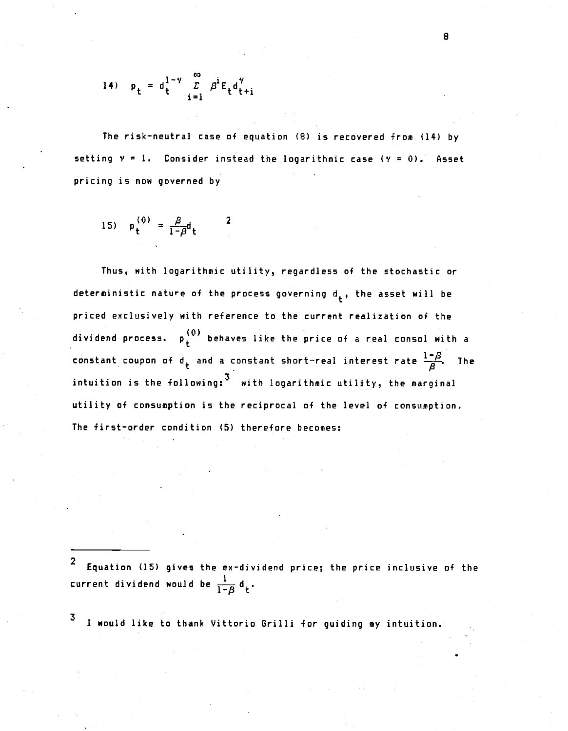14) 
$$
p_t = d_t^{1-\gamma} \sum_{i=1}^{\infty} \beta^i E_t d_{t+i}^{\gamma}
$$

The risk—neutral case of equation (8) is recovered from (14) by setting  $y = 1$ . Consider instead the logarithmic case ( $y = 0$ ). Asset pricing is now governed by

15) 
$$
p_t^{(0)} = \frac{\beta}{1-\beta}d_t
$$
 2

Thus, with logarithmic utility, regardless of the stochastic or deterministic nature of the process governing  $d_+$ , the asset will be priced exclusively with reference to the current realization of the dividend process.  $p_{+}^{(0)}$  behaves like the price of a real consol with a constant coupon of d<sub>+</sub> and a constant short-real interest rate  $\frac{1-\beta}{\beta}$ . The intuition is the following:  $3$  with logarithmic utility, the marginal utility of consumption is the reciprocal of the level of consumption. The first—order condition (5) therefore becomes:

2 Equation (15) gives the ex—dividend price; the price inclusive of the current dividend would be  $\frac{1}{1-\beta} d_t$ .

3 I would like to thank Vittorio Grilli for guiding my intuition.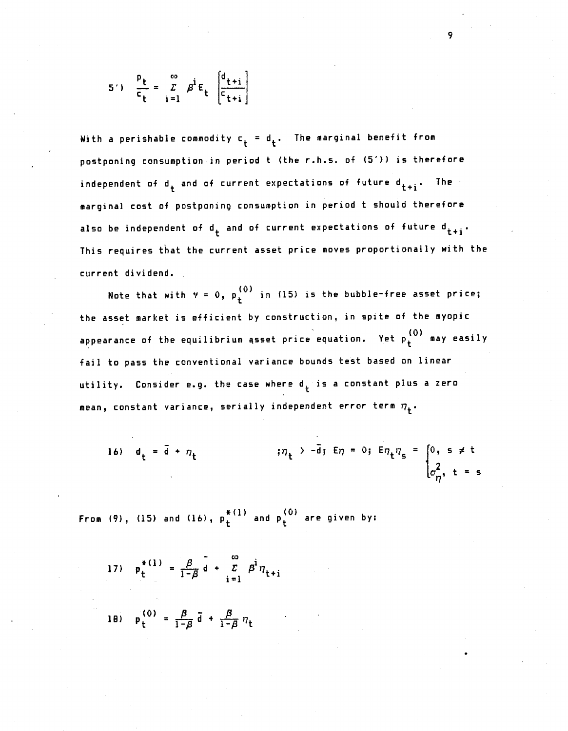$$
5') \quad \frac{P_t}{C_t} = \sum_{i=1}^{\infty} \beta^i E_t \left[ \frac{d_{t+i}}{C_{t+i}} \right]
$$

With a perishable commodity  $c_t = d_t$ . The marginal benefit from postponing consumption in period t (the r.h.s. of (5')) is therefore independent of d<sub>t</sub> and of current expectations of future d<sub>t+i</sub>. The marginal cost of postponing consumption in period t should therefore also be independent of  $d_t$  and of current expectations of future  $d_{t+i}$ . This requires that the current asset price moves proportionally with the current dividend.

Note that with  $\gamma = 0$ ,  $p_{+}^{(0)}$  in (15) is the bubble-free asset price; the asset market is efficient by construction, in spite of the myopic appearance of the equilibrium asset price equation. Yet  $p_f^{(0)}$  may easily fail to pass the conventional variance bounds test based on linear utility. Consider e.g. the case where  $\mathsf{d}_+$  is a constant plus a zero mean, constant variance, serially independent error term  $\eta_\texttt{+}$ .

16) 
$$
d_t = \bar{d} + \eta_t
$$
  $\qquad \qquad$   $\eta_t > -\bar{d}$ ;  $E\eta = 0$ ;  $E\eta_t\eta_s = \begin{cases} 0, & s \neq t \\ \sigma_{\eta}^2, & t = s \end{cases}$ 

From (9), (15) and (16),  $p_t^{\ast \, (1)}$  and  $p_t^{\, (0)}$  are given by:

- 17)  $p_{\perp}^{*(1)} = \frac{\beta}{1-\beta} d + Z \beta^{i}$  $\sum_{i=1}^{L} P \eta_{t+i}$
- 18)  $p_{\perp}^{(0)} = \frac{\beta}{1-\beta} \vec{d} + \frac{\beta}{1-\beta} \eta_{+}$  $1-\beta$   $1-\beta$  't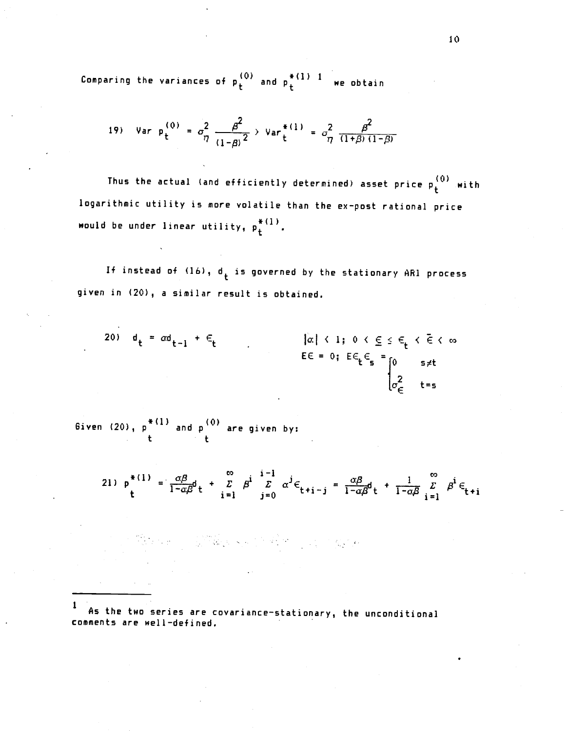Comparing the variances of  $p_t^{(0)}$  and  $p_t^{*(1)-1}$  we obtain

19) Var 
$$
p_t^{(0)} = \sigma_\eta^2 \frac{\beta^2}{(1-\beta)^2}
$$
  $Var_t^{*(1)} = \sigma_\eta^2 \frac{\beta^2}{(1+\beta)(1-\beta)}$ 

Thus the actual (and efficiently determined) asset price  $p_{+}^{(0)}$  with logarithmic utility is more volatile than the ex—post rational price would be under linear utility,  $p_t^{***}$ .

If instead of  $(16)$ ,  $d_t$  is governed by the stationary AR1 process given in (20), a similar result is obtained.

$$
\begin{array}{lll}\n\text{20)} & \mathbf{d}_t = \alpha \mathbf{d}_{t-1} + \epsilon_t & \text{for } t & \text{if } t < 1; \ 0 < \underline{\epsilon} \le \epsilon_t < \overline{\epsilon} < \infty \\
& \mathbf{E} \epsilon = 0; \ \mathbf{E} \epsilon_t \epsilon_s = \begin{cases}\n0 & \text{if } s \neq t \\
0 & \text{if } t = s\n\end{cases}\n\end{array}
$$

6iven (20), p "" and p "" are given by: t t

21)  $p^{*(1)} = \frac{\alpha \beta}{1-\alpha \beta} d_t + \frac{\beta}{i-1} \beta^i \frac{1-i}{\beta} \alpha^j \epsilon_{t+i-j} = \frac{\alpha \beta}{1-\alpha \beta} d_t + \frac{1}{1-\alpha \beta} \frac{\beta}{i-1} \beta^i \epsilon_{t+i}$ 

As the two series are covariance—stationary, the unconditional comments are well—defined.

ARANG MEREKA ING PROPERTY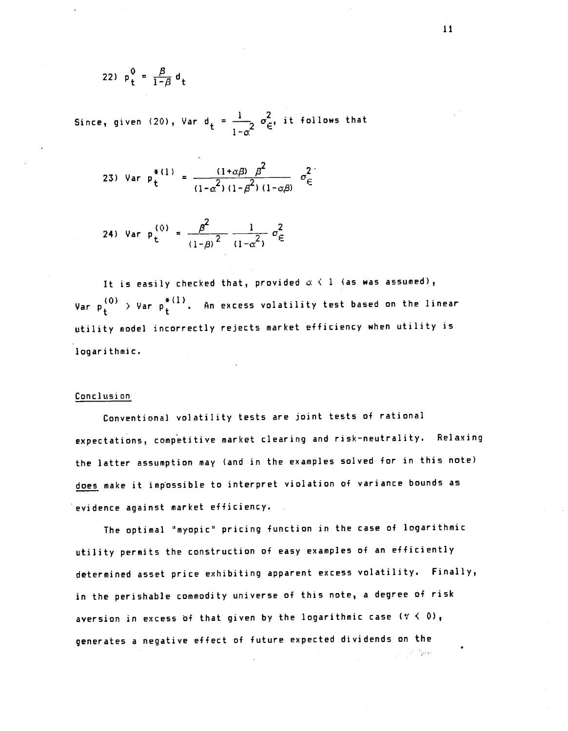$$
22) \quad p_t^0 = \frac{\beta}{1-\beta} d_t
$$

Since, given (20), Var d<sub>t</sub> =  $\frac{1}{1-\alpha^2}$   $\sigma_{\epsilon}^2$ , it follows that

23) Var 
$$
p_t^{*(1)} = \frac{(1+\alpha\beta)\beta^2}{(1-\alpha^2)(1-\beta^2)(1-\alpha\beta)}\sigma_{\epsilon}^2
$$

24) Var 
$$
p_t^{(0)} = \frac{\beta^2}{(1-\beta)^2} \frac{1}{(1-\alpha^2)} \sigma_{\infty}^2
$$

It is easily checked that, provided  $\alpha \leftarrow 1$  (as was assumed), Var  $\mathsf{p}^{(0)}_{\mathsf{t}}$   $>$  Var  $\mathsf{p}^{*(1)}_{\mathsf{t}}$  . An excess volatility test based on the linear utility model incorrectly rejects market efficiency when utility is logarithmic.

## Conclusi on

Conventional volatility tests are joint tests of rational expectations, competitive market clearing and risk—neutrality. Relaxing the latter assumption may (and in the examples solved for in this note) does make it impossible to interpret violation of variance bounds as evidence against market efficiency.

The optimal "myopic" pricing function in the case of logarithmic utility permits the construction of easy examples of an efficiently determined asset price exhibiting apparent excess volatility. Finally, in the perishable commodity universe of this note, a degree of risk aversion in excess of that given by the logarithmic case  $(y \le 0)$ , generates a negative effect of future expected dividends on the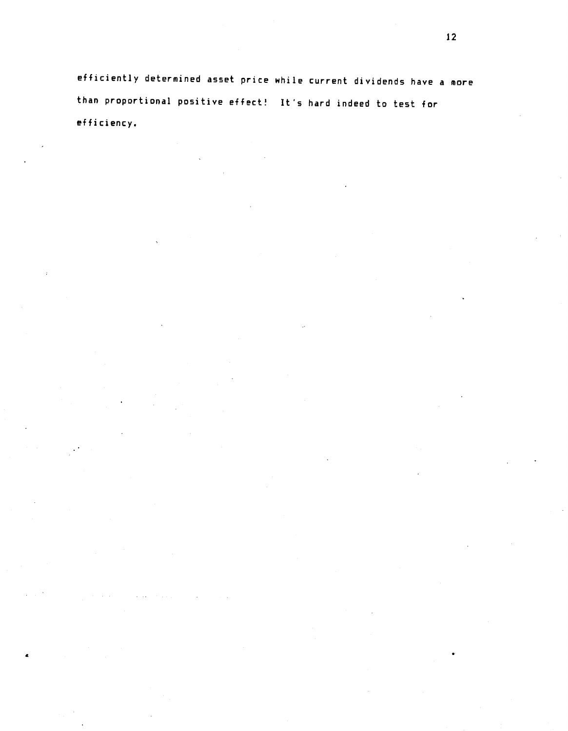efficiently determined asset price while current dividends have a more than proportional positive effect! It's hard indeed to test for efficiency.